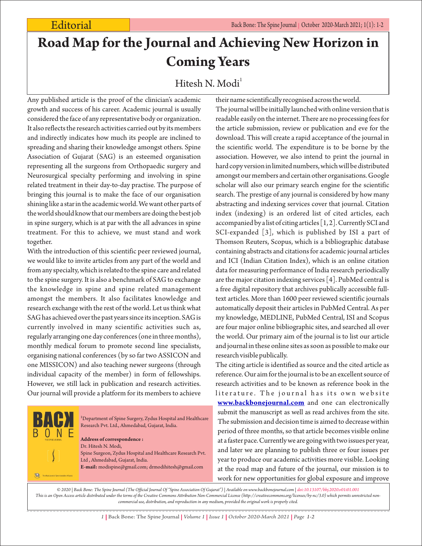## **Road Map for the Journal and Achieving New Horizon in Coming Years**

## Hitesh N. Modi<sup>1</sup>

Any published article is the proof of the clinician's academic growth and success of his career. Academic journal is usually considered the face of any representative body or organization. It also reflects the research activities carried out by its members and indirectly indicates how much its people are inclined to spreading and sharing their knowledge amongst others. Spine Association of Gujarat (SAG) is an esteemed organisation representing all the surgeons from Orthopaedic surgery and Neurosurgical specialty performing and involving in spine related treatment in their day-to-day practise. The purpose of bringing this journal is to make the face of our organisation shining like a star in the academic world. We want other parts of the world should know that our members are doing the best job in spine surgery, which is at par with the all advances in spine treatment. For this to achieve, we must stand and work together.

With the introduction of this scientific peer reviewed journal, we would like to invite articles from any part of the world and from any specialty, which is related to the spine care and related to the spine surgery. It is also a benchmark of SAG to exchange the knowledge in spine and spine related management amongst the members. It also facilitates knowledge and research exchange with the rest of the world. Let us think what SAG has achieved over the past years since its inception. SAG is currently involved in many scientific activities such as, regularly arranging one day conferences (one in three months), monthly medical forum to promote second line specialists, organising national conferences (by so far two ASSICON and one MISSICON) and also teaching newer surgeons (through individual capacity of the member) in form of fellowships. However, we still lack in publication and research activities. Our journal will provide a platform for its members to achieve

O,

<sup>1</sup>Department of Spine Surgery, Zydus Hospital and Healthcare Research Pvt. Ltd., Ahmedabad, Gujarat, India.

**Address of correspondence :** Dr. Hitesh N. Modi, Spine Surgeon, Zydus Hospital and Healthcare Research Pvt. Ltd , Ahmedabad, Gujarat, India. **E-mail:** modispine@gmail.com; drmodihitesh@gmail.com

their name scientifically recognised across the world. The journal will be initially launched with online version that is readable easily on the internet. There are no processing fees for the article submission, review or publication and eve for the download. This will create a rapid acceptance of the journal in the scientific world. The expenditure is to be borne by the association. However, we also intend to print the journal in hard copy version in limited numbers, which will be distributed amongst our members and certain other organisations. Google scholar will also our primary search engine for the scientific search. The prestige of any journal is considered by how many abstracting and indexing services cover that journal. Citation index (indexing) is an ordered list of cited articles, each accompanied by a list of citing articles [1, 2]. Currently SCI and SCI-expanded [3], which is published by ISI a part of Thomson Reuters, Scopus, which is a bibliographic database containing abstracts and citations for academic journal articles and ICI (Indian Citation Index), which is an online citation data for measuring performance of India research periodically are the major citation indexing services [4]. PubMed central is a free digital repository that archives publically accessible fulltext articles. More than 1600 peer reviewed scientific journals automatically deposit their articles in PubMed Central. As per my knowledge, MEDLINE, PubMed Central, ISI and Scopus are four major online bibliographic sites, and searched all over the world. Our primary aim of the journal is to list our article and journal in these online sites as soon as possible to make our research visible publically.

The citing article is identified as source and the cited article as reference. Our aim for the journal is to be an excellent source of research activities and to be known as reference book in the literature. The journal has its own website **[www.backbonejournal.com](http://www.backbonejournal.com)** and one can electronically submit the manuscript as well as read archives from the site. The submission and decision time is aimed to decrease within period of three months, so that article becomes visible online at a faster pace. Currently we are going with two issues per year, and later we are planning to publish three or four issues per year to produce our academic activities more visible. Looking at the road map and future of the journal, our mission is to work for new opportunities for global exposure and improve

*© 2020 | Back Bone: The Spine Journal (The Official Journal Of "Spine Association Of Gujarat") | Available on www.backbonejournal.com | doi:10.13107/bbj.2020.v01i01.001 This is an Open Access article distributed under the terms of the Creative Commons Attribution Non-Commercial License (http://creativecommons.org/licenses/by-nc/3.0) which permits unrestricted noncommercial use, distribution, and reproduction in any medium, provided the original work is properly cited.*